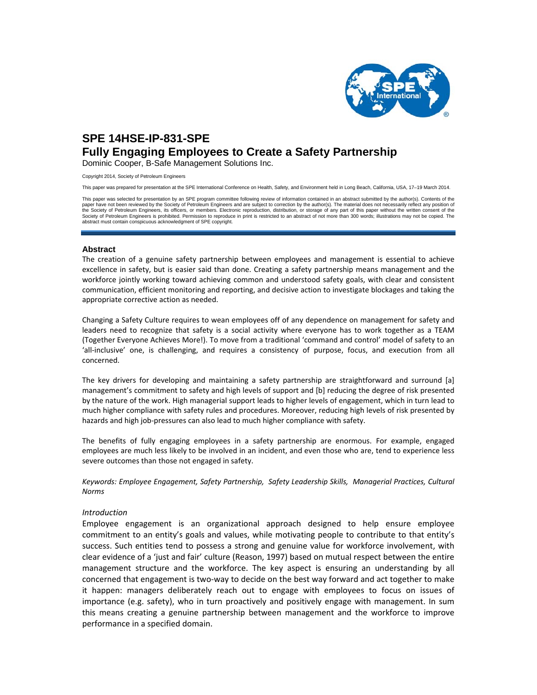

# **SPE 14HSE-IP-831-SPE Fully Engaging Employees to Create a Safety Partnership**

Dominic Cooper, B-Safe Management Solutions Inc.

Copyright 2014, Society of Petroleum Engineers

This paper was prepared for presentation at the SPE International Conference on Health, Safety, and Environment held in Long Beach, California, USA, 17–19 March 2014.

This paper was selected for presentation by an SPE program committee following review of information contained in an abstract submitted by the author(s). Contents of the paper have not been reviewed by the Society of Petroleum Engineers and are subject to correction by the author(s). The material does not necessarily reflect any position of<br>the Society of Petroleum Engineers, its officers, Society of Petroleum Engineers is prohibited. Permission to reproduce in print is restricted to an abstract of not more than 300 words; illustrations may not be copied. The abstract must contain conspicuous acknowledgment of SPE copyright.

#### **Abstract**

The creation of a genuine safety partnership between employees and management is essential to achieve excellence in safety, but is easier said than done. Creating a safety partnership means management and the workforce jointly working toward achieving common and understood safety goals, with clear and consistent communication, efficient monitoring and reporting, and decisive action to investigate blockages and taking the appropriate corrective action as needed.

Changing a Safety Culture requires to wean employees off of any dependence on management for safety and leaders need to recognize that safety is a social activity where everyone has to work together as a TEAM (Together Everyone Achieves More!). To move from a traditional 'command and control' model of safety to an 'all‐inclusive' one, is challenging, and requires a consistency of purpose, focus, and execution from all concerned.

The key drivers for developing and maintaining a safety partnership are straightforward and surround [a] management's commitment to safety and high levels of support and [b] reducing the degree of risk presented by the nature of the work. High managerial support leads to higher levels of engagement, which in turn lead to much higher compliance with safety rules and procedures. Moreover, reducing high levels of risk presented by hazards and high job-pressures can also lead to much higher compliance with safety.

The benefits of fully engaging employees in a safety partnership are enormous. For example, engaged employees are much less likely to be involved in an incident, and even those who are, tend to experience less severe outcomes than those not engaged in safety.

*Keywords: Employee Engagement, Safety Partnership, Safety Leadership Skills, Managerial Practices, Cultural Norms*

#### *Introduction*

Employee engagement is an organizational approach designed to help ensure employee commitment to an entity's goals and values, while motivating people to contribute to that entity's success. Such entities tend to possess a strong and genuine value for workforce involvement, with clear evidence of a 'just and fair' culture (Reason, 1997) based on mutual respect between the entire management structure and the workforce. The key aspect is ensuring an understanding by all concerned that engagement is two‐way to decide on the best way forward and act together to make it happen: managers deliberately reach out to engage with employees to focus on issues of importance (e.g. safety), who in turn proactively and positively engage with management. In sum this means creating a genuine partnership between management and the workforce to improve performance in a specified domain.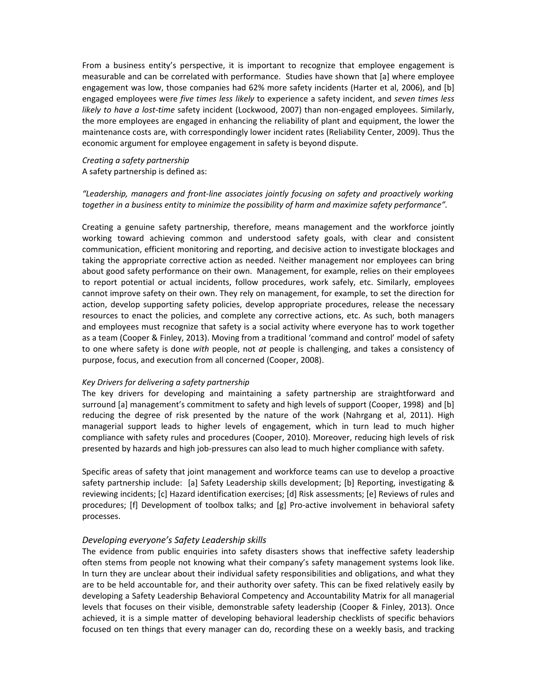From a business entity's perspective, it is important to recognize that employee engagement is measurable and can be correlated with performance. Studies have shown that [a] where employee engagement was low, those companies had 62% more safety incidents (Harter et al, 2006), and [b] engaged employees were *five times less likely* to experience a safety incident, and *seven times less likely to have a lost‐time* safety incident (Lockwood, 2007) than non‐engaged employees. Similarly, the more employees are engaged in enhancing the reliability of plant and equipment, the lower the maintenance costs are, with correspondingly lower incident rates (Reliability Center, 2009). Thus the economic argument for employee engagement in safety is beyond dispute.

*Creating a safety partnership* A safety partnership is defined as:

# *"Leadership, managers and front‐line associates jointly focusing on safety and proactively working together in a business entity to minimize the possibility of harm and maximize safety performance".*

Creating a genuine safety partnership, therefore, means management and the workforce jointly working toward achieving common and understood safety goals, with clear and consistent communication, efficient monitoring and reporting, and decisive action to investigate blockages and taking the appropriate corrective action as needed. Neither management nor employees can bring about good safety performance on their own. Management, for example, relies on their employees to report potential or actual incidents, follow procedures, work safely, etc. Similarly, employees cannot improve safety on their own. They rely on management, for example, to set the direction for action, develop supporting safety policies, develop appropriate procedures, release the necessary resources to enact the policies, and complete any corrective actions, etc. As such, both managers and employees must recognize that safety is a social activity where everyone has to work together as a team (Cooper & Finley, 2013). Moving from a traditional 'command and control' model of safety to one where safety is done *with* people, not *at* people is challenging, and takes a consistency of purpose, focus, and execution from all concerned (Cooper, 2008).

### *Key Drivers for delivering a safety partnership*

The key drivers for developing and maintaining a safety partnership are straightforward and surround [a] management's commitment to safety and high levels of support (Cooper, 1998) and [b] reducing the degree of risk presented by the nature of the work (Nahrgang et al, 2011). High managerial support leads to higher levels of engagement, which in turn lead to much higher compliance with safety rules and procedures (Cooper, 2010). Moreover, reducing high levels of risk presented by hazards and high job-pressures can also lead to much higher compliance with safety.

Specific areas of safety that joint management and workforce teams can use to develop a proactive safety partnership include: [a] Safety Leadership skills development; [b] Reporting, investigating & reviewing incidents; [c] Hazard identification exercises; [d] Risk assessments; [e] Reviews of rules and procedures; [f] Development of toolbox talks; and [g] Pro‐active involvement in behavioral safety processes.

### *Developing everyone's Safety Leadership skills*

The evidence from public enquiries into safety disasters shows that ineffective safety leadership often stems from people not knowing what their company's safety management systems look like. In turn they are unclear about their individual safety responsibilities and obligations, and what they are to be held accountable for, and their authority over safety. This can be fixed relatively easily by developing a Safety Leadership Behavioral Competency and Accountability Matrix for all managerial levels that focuses on their visible, demonstrable safety leadership (Cooper & Finley, 2013). Once achieved, it is a simple matter of developing behavioral leadership checklists of specific behaviors focused on ten things that every manager can do, recording these on a weekly basis, and tracking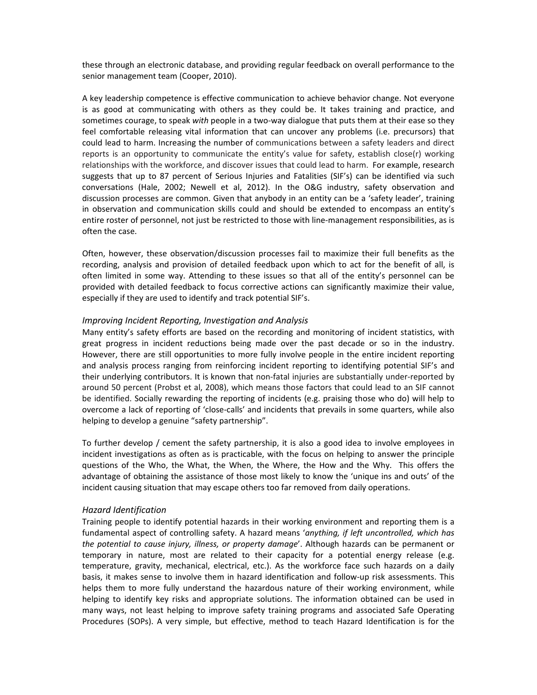these through an electronic database, and providing regular feedback on overall performance to the senior management team (Cooper, 2010).

A key leadership competence is effective communication to achieve behavior change. Not everyone is as good at communicating with others as they could be. It takes training and practice, and sometimes courage, to speak *with* people in a two-way dialogue that puts them at their ease so they feel comfortable releasing vital information that can uncover any problems (i.e. precursors) that could lead to harm. Increasing the number of communications between a safety leaders and direct reports is an opportunity to communicate the entity's value for safety, establish close(r) working relationships with the workforce, and discover issues that could lead to harm. For example, research suggests that up to 87 percent of Serious Injuries and Fatalities (SIF's) can be identified via such conversations (Hale, 2002; Newell et al, 2012). In the O&G industry, safety observation and discussion processes are common. Given that anybody in an entity can be a 'safety leader', training in observation and communication skills could and should be extended to encompass an entity's entire roster of personnel, not just be restricted to those with line-management responsibilities, as is often the case.

Often, however, these observation/discussion processes fail to maximize their full benefits as the recording, analysis and provision of detailed feedback upon which to act for the benefit of all, is often limited in some way. Attending to these issues so that all of the entity's personnel can be provided with detailed feedback to focus corrective actions can significantly maximize their value, especially if they are used to identify and track potential SIF's.

## *Improving Incident Reporting, Investigation and Analysis*

Many entity's safety efforts are based on the recording and monitoring of incident statistics, with great progress in incident reductions being made over the past decade or so in the industry. However, there are still opportunities to more fully involve people in the entire incident reporting and analysis process ranging from reinforcing incident reporting to identifying potential SIF's and their underlying contributors. It is known that non‐fatal injuries are substantially under‐reported by around 50 percent (Probst et al, 2008), which means those factors that could lead to an SIF cannot be identified. Socially rewarding the reporting of incidents (e.g. praising those who do) will help to overcome a lack of reporting of 'close‐calls' and incidents that prevails in some quarters, while also helping to develop a genuine "safety partnership".

To further develop / cement the safety partnership, it is also a good idea to involve employees in incident investigations as often as is practicable, with the focus on helping to answer the principle questions of the Who, the What, the When, the Where, the How and the Why. This offers the advantage of obtaining the assistance of those most likely to know the 'unique ins and outs' of the incident causing situation that may escape others too far removed from daily operations.

### *Hazard Identification*

Training people to identify potential hazards in their working environment and reporting them is a fundamental aspect of controlling safety. A hazard means '*anything, if left uncontrolled, which has the potential to cause injury, illness, or property damage*'. Although hazards can be permanent or temporary in nature, most are related to their capacity for a potential energy release (e.g. temperature, gravity, mechanical, electrical, etc.). As the workforce face such hazards on a daily basis, it makes sense to involve them in hazard identification and follow‐up risk assessments. This helps them to more fully understand the hazardous nature of their working environment, while helping to identify key risks and appropriate solutions. The information obtained can be used in many ways, not least helping to improve safety training programs and associated Safe Operating Procedures (SOPs). A very simple, but effective, method to teach Hazard Identification is for the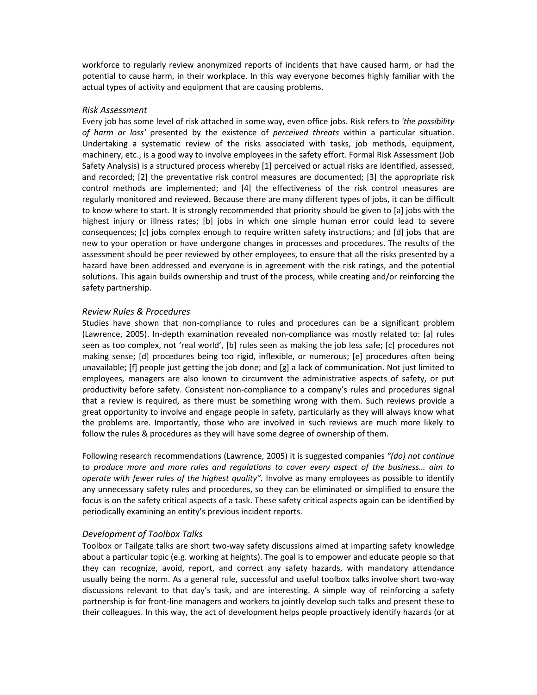workforce to regularly review anonymized reports of incidents that have caused harm, or had the potential to cause harm, in their workplace. In this way everyone becomes highly familiar with the actual types of activity and equipment that are causing problems.

## *Risk Assessment*

Every job has some level of risk attached in some way, even office jobs. Risk refers to *'the possibility of harm or loss'* presented by the existence of *perceived threats* within a particular situation. Undertaking a systematic review of the risks associated with tasks, job methods, equipment, machinery, etc., is a good way to involve employees in the safety effort. Formal Risk Assessment (Job Safety Analysis) is a structured process whereby [1] perceived or actual risks are identified, assessed, and recorded; [2] the preventative risk control measures are documented; [3] the appropriate risk control methods are implemented; and [4] the effectiveness of the risk control measures are regularly monitored and reviewed. Because there are many different types of jobs, it can be difficult to know where to start. It is strongly recommended that priority should be given to [a] jobs with the highest injury or illness rates; [b] jobs in which one simple human error could lead to severe consequences; [c] jobs complex enough to require written safety instructions; and [d] jobs that are new to your operation or have undergone changes in processes and procedures. The results of the assessment should be peer reviewed by other employees, to ensure that all the risks presented by a hazard have been addressed and everyone is in agreement with the risk ratings, and the potential solutions. This again builds ownership and trust of the process, while creating and/or reinforcing the safety partnership.

# *Review Rules & Procedures*

Studies have shown that non‐compliance to rules and procedures can be a significant problem (Lawrence, 2005). In‐depth examination revealed non‐compliance was mostly related to: [a] rules seen as too complex, not 'real world', [b] rules seen as making the job less safe; [c] procedures not making sense; [d] procedures being too rigid, inflexible, or numerous; [e] procedures often being unavailable; [f] people just getting the job done; and [g] a lack of communication. Not just limited to employees, managers are also known to circumvent the administrative aspects of safety, or put productivity before safety. Consistent non‐compliance to a company's rules and procedures signal that a review is required, as there must be something wrong with them. Such reviews provide a great opportunity to involve and engage people in safety, particularly as they will always know what the problems are. Importantly, those who are involved in such reviews are much more likely to follow the rules & procedures as they will have some degree of ownership of them.

Following research recommendations (Lawrence, 2005) it is suggested companies *"(do) not continue to produce more and more rules and regulations to cover every aspect of the business… aim to operate with fewer rules of the highest quality".* Involve as many employees as possible to identify any unnecessary safety rules and procedures, so they can be eliminated or simplified to ensure the focus is on the safety critical aspects of a task. These safety critical aspects again can be identified by periodically examining an entity's previous incident reports.

# *Development of Toolbox Talks*

Toolbox or Tailgate talks are short two-way safety discussions aimed at imparting safety knowledge about a particular topic (e.g. working at heights). The goal is to empower and educate people so that they can recognize, avoid, report, and correct any safety hazards, with mandatory attendance usually being the norm. As a general rule, successful and useful toolbox talks involve short two‐way discussions relevant to that day's task, and are interesting. A simple way of reinforcing a safety partnership is for front‐line managers and workers to jointly develop such talks and present these to their colleagues. In this way, the act of development helps people proactively identify hazards (or at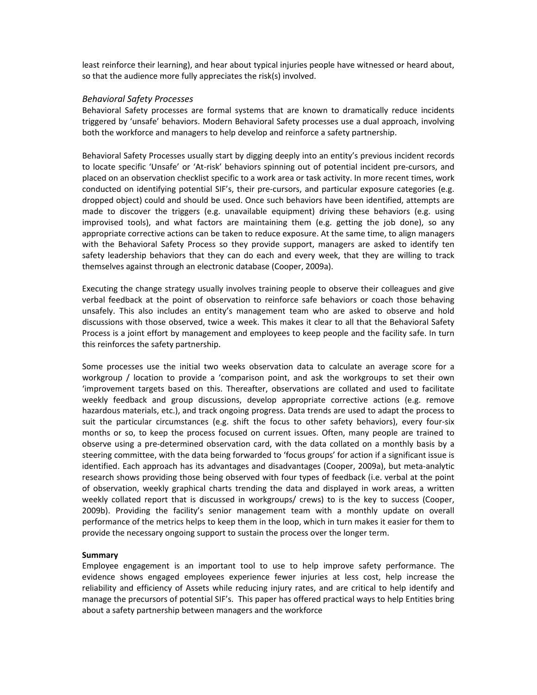least reinforce their learning), and hear about typical injuries people have witnessed or heard about, so that the audience more fully appreciates the risk(s) involved.

# *Behavioral Safety Processes*

Behavioral Safety processes are formal systems that are known to dramatically reduce incidents triggered by 'unsafe' behaviors. Modern Behavioral Safety processes use a dual approach, involving both the workforce and managers to help develop and reinforce a safety partnership.

Behavioral Safety Processes usually start by digging deeply into an entity's previous incident records to locate specific 'Unsafe' or 'At‐risk' behaviors spinning out of potential incident pre‐cursors, and placed on an observation checklist specific to a work area or task activity. In more recent times, work conducted on identifying potential SIF's, their pre-cursors, and particular exposure categories (e.g. dropped object) could and should be used. Once such behaviors have been identified, attempts are made to discover the triggers (e.g. unavailable equipment) driving these behaviors (e.g. using improvised tools), and what factors are maintaining them (e.g. getting the job done), so any appropriate corrective actions can be taken to reduce exposure. At the same time, to align managers with the Behavioral Safety Process so they provide support, managers are asked to identify ten safety leadership behaviors that they can do each and every week, that they are willing to track themselves against through an electronic database (Cooper, 2009a).

Executing the change strategy usually involves training people to observe their colleagues and give verbal feedback at the point of observation to reinforce safe behaviors or coach those behaving unsafely. This also includes an entity's management team who are asked to observe and hold discussions with those observed, twice a week. This makes it clear to all that the Behavioral Safety Process is a joint effort by management and employees to keep people and the facility safe. In turn this reinforces the safety partnership.

Some processes use the initial two weeks observation data to calculate an average score for a workgroup / location to provide a 'comparison point, and ask the workgroups to set their own 'improvement targets based on this. Thereafter, observations are collated and used to facilitate weekly feedback and group discussions, develop appropriate corrective actions (e.g. remove hazardous materials, etc.), and track ongoing progress. Data trends are used to adapt the process to suit the particular circumstances (e.g. shift the focus to other safety behaviors), every four‐six months or so, to keep the process focused on current issues. Often, many people are trained to observe using a pre‐determined observation card, with the data collated on a monthly basis by a steering committee, with the data being forwarded to 'focus groups' for action if a significant issue is identified. Each approach has its advantages and disadvantages (Cooper, 2009a), but meta‐analytic research shows providing those being observed with four types of feedback (i.e. verbal at the point of observation, weekly graphical charts trending the data and displayed in work areas, a written weekly collated report that is discussed in workgroups/ crews) to is the key to success (Cooper, 2009b). Providing the facility's senior management team with a monthly update on overall performance of the metrics helps to keep them in the loop, which in turn makes it easier for them to provide the necessary ongoing support to sustain the process over the longer term.

### **Summary**

Employee engagement is an important tool to use to help improve safety performance. The evidence shows engaged employees experience fewer injuries at less cost, help increase the reliability and efficiency of Assets while reducing injury rates, and are critical to help identify and manage the precursors of potential SIF's. This paper has offered practical ways to help Entities bring about a safety partnership between managers and the workforce